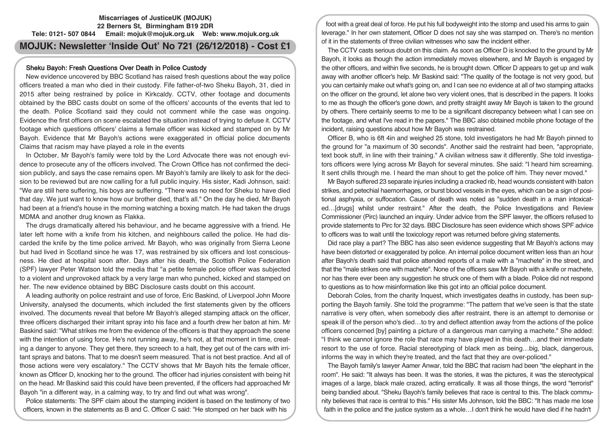# **Miscarriages of JusticeUK (MOJUK) 22 Berners St, Birmingham B19 2DR Tele: 0121- 507 0844 Email: mojuk@mojuk.org.uk Web: www.mojuk.org.uk**

# **MOJUK: Newsletter 'Inside Out' No 721 (26/12/2018) - Cost £1**

# Sheku Bayoh: Fresh Questions Over Death in Police Custody

New evidence uncovered by BBC Scotland has raised fresh questions about the way police officers treated a man who died in their custody. Fife father-of-two Sheku Bayoh, 31, died in 2015 after being restrained by police in Kirkcaldy. CCTV, other footage and documents obtained by the BBC casts doubt on some of the officers' accounts of the events that led to the death. Police Scotland said they could not comment while the case was ongoing. Evidence the first officers on scene escalated the situation instead of trying to defuse it. CCTV footage which questions officers' claims a female officer was kicked and stamped on by Mr Bayoh. Evidence that Mr Bayoh's actions were exaggerated in official police documents Claims that racism may have played a role in the events

In October, Mr Bayoh's family were told by the Lord Advocate there was not enough evidence to prosecute any of the officers involved. The Crown Office has not confirmed the decision publicly, and says the case remains open. Mr Bayoh's family are likely to ask for the decision to be reviewed but are now calling for a full public inquiry. His sister, Kadi Johnson, said: "We are still here suffering, his boys are suffering. "There was no need for Sheku to have died that day. We just want to know how our brother died, that's all." On the day he died, Mr Bayoh had been at a friend's house in the morning watching a boxing match. He had taken the drugs MDMA and another drug known as Flakka.

The drugs dramatically altered his behaviour, and he became aggressive with a friend. He later left home with a knife from his kitchen, and neighbours called the police. He had discarded the knife by the time police arrived. Mr Bayoh, who was originally from Sierra Leone but had lived in Scotland since he was 17, was restrained by six officers and lost consciousness. He died at hospital soon after. Days after his death, the Scottish Police Federation (SPF) lawyer Peter Watson told the media that "a petite female police officer was subjected to a violent and unprovoked attack by a very large man who punched, kicked and stamped on her. The new evidence obtained by BBC Disclosure casts doubt on this account.

A leading authority on police restraint and use of force, Eric Baskind, of Liverpool John Moore University, analysed the documents, which included the first statements given by the officers involved. The documents reveal that before Mr Bayoh's alleged stamping attack on the officer, three officers discharged their irritant spray into his face and a fourth drew her baton at him. Mr Baskind said: "What strikes me from the evidence of the officers is that they approach the scene with the intention of using force. He's not running away, he's not, at that moment in time, creating a danger to anyone. They get there, they screech to a halt, they get out of the cars with irritant sprays and batons. That to me doesn't seem measured. That is not best practice. And all of those actions were very escalatory." The CCTV shows that Mr Bayoh hits the female officer, known as Officer D, knocking her to the ground. The officer had injuries consistent with being hit on the head. Mr Baskind said this could have been prevented, if the officers had approached Mr Bayoh "in a different way, in a calming way, to try and find out what was wrong".

Police statements: The SPF claim about the stamping incident is based on the testimony of two officers, known in the statements as B and C. Officer C said: "He stomped on her back with his

foot with a great deal of force. He put his full bodyweight into the stomp and used his arms to gain leverage." In her own statement, Officer D does not say she was stamped on. There's no mention of it in the statements of three civilian witnesses who saw the incident either.

The CCTV casts serious doubt on this claim. As soon as Officer D is knocked to the ground by Mr Bayoh, it looks as though the action immediately moves elsewhere, and Mr Bayoh is engaged by the other officers, and within five seconds, he is brought down. Officer D appears to get up and walk away with another officer's help. Mr Baskind said: "The quality of the footage is not very good, but you can certainly make out what's going on, and I can see no evidence at all of two stamping attacks on the officer on the ground, let alone two very violent ones, that is described in the papers. It looks to me as though the officer's gone down, and pretty straight away Mr Bayoh is taken to the ground by others. There certainly seems to me to be a significant discrepancy between what I can see on the footage, and what I've read in the papers." The BBC also obtained mobile phone footage of the incident, raising questions about how Mr Bayoh was restrained.

Officer B, who is 6ft 4in and weighed 25 stone, told investigators he had Mr Bayoh pinned to the ground for "a maximum of 30 seconds". Another said the restraint had been, "appropriate, text book stuff, in line with their training." A civilian witness saw it differently. She told investigators officers were lying across Mr Bayoh for several minutes. She said: "I heard him screaming. It sent chills through me. I heard the man shout to get the police off him. They never moved."

Mr Bayoh suffered 23 separate injuries including a cracked rib, head wounds consistent with baton strikes, and petechial haemorrhages, or burst blood vessels in the eyes, which can be a sign of positional asphyxia, or suffocation. Cause of death was noted as "sudden death in a man intoxicated…[drugs] whilst under restraint." After the death, the Police Investigations and Review Commissioner (Pirc) launched an inquiry. Under advice from the SPF lawyer, the officers refused to provide statements to Pirc for 32 days. BBC Disclosure has seen evidence which shows SPF advice to officers was to wait until the toxicology report was returned before giving statements.

Did race play a part? The BBC has also seen evidence suggesting that Mr Bayoh's actions may have been distorted or exaggerated by police. An internal police document written less than an hour after Bayoh's death said that police attended reports of a male with a "machete" in the street, and that the "male strikes one with machete". None of the officers saw Mr Bayoh with a knife or machete, nor has there ever been any suggestion he struck one of them with a blade. Police did not respond to questions as to how misinformation like this got into an official police document.

Deborah Coles, from the charity Inquest, which investigates deaths in custody, has been supporting the Bayoh family. She told the programme: "The pattern that we've seen is that the state narrative is very often, when somebody dies after restraint, there is an attempt to demonise or speak ill of the person who's died…to try and deflect attention away from the actions of the police officers concerned [by] painting a picture of a dangerous man carrying a machete." She added: "I think we cannot ignore the role that race may have played in this death…and their immediate resort to the use of force. Racial stereotyping of black men as being…big, black, dangerous, informs the way in which they're treated, and the fact that they are over-policed."

The Bayoh family's lawyer Aamer Anwar, told the BBC that racism had been "the elephant in the room". He said: "It always has been. It was the stories, it was the pictures, it was the stereotypical images of a large, black male crazed, acting erratically. It was all those things, the word "terrorist" being bandied about. "Sheku Bayoh's family believes that race is central to this. The black community believes that race is central to this." His sister Ms Johnson, told the BBC: "It has made me lose faith in the police and the justice system as a whole…I don't think he would have died if he hadn't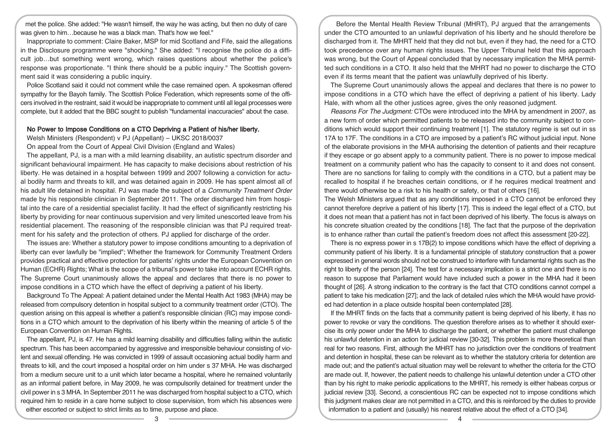met the police. She added: "He wasn't himself, the way he was acting, but then no duty of care was given to him…because he was a black man. That's how we feel."

Inappropriate to comment: Claire Baker, MSP for mid Scotland and Fife, said the allegations in the Disclosure programme were "shocking." She added: "I recognise the police do a difficult job…but something went wrong, which raises questions about whether the police's response was proportionate. "I think there should be a public inquiry." The Scottish government said it was considering a public inquiry.

Police Scotland said it could not comment while the case remained open. A spokesman offered sympathy for the Bayoh family. The Scottish Police Federation, which represents some of the officers involved in the restraint, said it would be inappropriate to comment until all legal processes were complete, but it added that the BBC sought to publish "fundamental inaccuracies" about the case.

# No Power to Impose Conditions on a CTO Depriving a Patient of his/her liberty.

Welsh Ministers (Respondent) v PJ (Appellant) – UKSC 2018/0037

On appeal from the Court of Appeal Civil Division (England and Wales)

The appellant, PJ, is a man with a mild learning disability, an autistic spectrum disorder and significant behavioural impairment. He has capacity to make decisions about restriction of his liberty. He was detained in a hospital between 1999 and 2007 following a conviction for actual bodily harm and threats to kill, and was detained again in 2009. He has spent almost all of his adult life detained in hospital. PJ was made the subject of a Community Treatment Order made by his responsible clinician in September 2011. The order discharged him from hospital into the care of a residential specialist facility. It had the effect of significantly restricting his liberty by providing for near continuous supervision and very limited unescorted leave from his residential placement. The reasoning of the responsible clinician was that PJ required treatment for his safety and the protection of others. PJ applied for discharge of the order.

The issues are: Whether a statutory power to impose conditions amounting to a deprivation of liberty can ever lawfully be "implied"; Whether the framework for Community Treatment Orders provides practical and effective protection for patients' rights under the European Convention on Human (ECHR) Rights; What is the scope of a tribunal's power to take into account ECHR rights. The Supreme Court unanimously allows the appeal and declares that there is no power to impose conditions in a CTO which have the effect of depriving a patient of his liberty.

Background To The Appeal: A patient detained under the Mental Health Act 1983 (MHA) may be released from compulsory detention in hospital subject to a community treatment order (CTO). The question arising on this appeal is whether a patient's responsible clinician (RC) may impose conditions in a CTO which amount to the deprivation of his liberty within the meaning of article 5 of the European Convention on Human Rights.

The appellant, PJ, is 47. He has a mild learning disability and difficulties falling within the autistic spectrum. This has been accompanied by aggressive and irresponsible behaviour consisting of violent and sexual offending. He was convicted in 1999 of assault occasioning actual bodily harm and threats to kill, and the court imposed a hospital order on him under s 37 MHA. He was discharged from a medium secure unit to a unit which later became a hospital, where he remained voluntarily as an informal patient before, in May 2009, he was compulsorily detained for treatment under the civil power in s 3 MHA. In September 2011 he was discharged from hospital subject to a CTO, which required him to reside in a care home subject to close supervision, from which his absences were either escorted or subject to strict limits as to time, purpose and place.

Before the Mental Health Review Tribunal (MHRT), PJ argued that the arrangements under the CTO amounted to an unlawful deprivation of his liberty and he should therefore be discharged from it. The MHRT held that they did not but, even if they had, the need for a CTO took precedence over any human rights issues. The Upper Tribunal held that this approach was wrong, but the Court of Appeal concluded that by necessary implication the MHA permitted such conditions in a CTO. It also held that the MHRT had no power to discharge the CTO even if its terms meant that the patient was unlawfully deprived of his liberty.

The Supreme Court unanimously allows the appeal and declares that there is no power to impose conditions in a CTO which have the effect of depriving a patient of his liberty. Lady Hale, with whom all the other justices agree, gives the only reasoned judgment.

Reasons For The Judgment: CTOs were introduced into the MHA by amendment in 2007, as a new form of order which permitted patients to be released into the community subject to conditions which would support their continuing treatment [1]. The statutory regime is set out in ss 17A to 17F. The conditions in a CTO are imposed by a patient's RC without judicial input. None of the elaborate provisions in the MHA authorising the detention of patients and their recapture if they escape or go absent apply to a community patient. There is no power to impose medical treatment on a community patient who has the capacity to consent to it and does not consent. There are no sanctions for failing to comply with the conditions in a CTO, but a patient may be recalled to hospital if he breaches certain conditions, or if he requires medical treatment and there would otherwise be a risk to his health or safety, or that of others [16].

The Welsh Ministers argued that as any conditions imposed in a CTO cannot be enforced they cannot therefore deprive a patient of his liberty [17]. This is indeed the legal effect of a CTO, but it does not mean that a patient has not in fact been deprived of his liberty. The focus is always on his concrete situation created by the conditions [18]. The fact that the purpose of the deprivation is to enhance rather than curtail the patient's freedom does not affect this assessment [20-22].

There is no express power in s 17B(2) to impose conditions which have the effect of depriving a community patient of his liberty. It is a fundamental principle of statutory construction that a power expressed in general words should not be construed to interfere with fundamental rights such as the right to liberty of the person [24]. The test for a necessary implication is a strict one and there is no reason to suppose that Parliament would have included such a power in the MHA had it been thought of [26]. A strong indication to the contrary is the fact that CTO conditions cannot compel a patient to take his medication [27]; and the lack of detailed rules which the MHA would have provided had detention in a place outside hospital been contemplated [28].

If the MHRT finds on the facts that a community patient is being deprived of his liberty, it has no power to revoke or vary the conditions. The question therefore arises as to whether it should exercise its only power under the MHA to discharge the patient, or whether the patient must challenge his unlawful detention in an action for judicial review [30-32]. This problem is more theoretical than real for two reasons. First, although the MHRT has no jurisdiction over the conditions of treatment and detention in hospital, these can be relevant as to whether the statutory criteria for detention are made out; and the patient's actual situation may well be relevant to whether the criteria for the CTO are made out. If, however, the patient needs to challenge his unlawful detention under a CTO other than by his right to make periodic applications to the MHRT, his remedy is either habeas corpus or judicial review [33]. Second, a conscientious RC can be expected not to impose conditions which this judgment makes clear are not permitted in a CTO, and this is reinforced by the duties to provide information to a patient and (usually) his nearest relative about the effect of a CTO [34].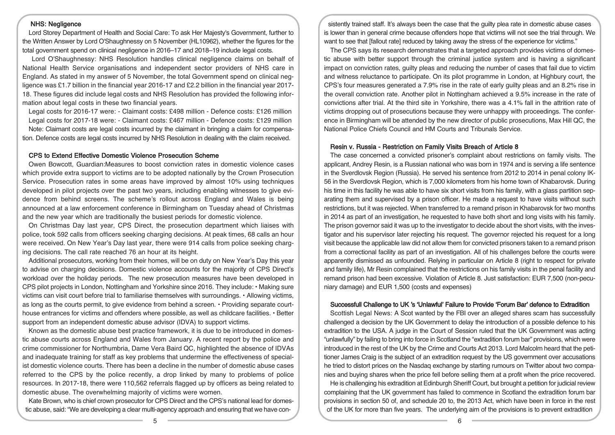# NHS: Negligence

Lord Storey Department of Health and Social Care: To ask Her Majesty's Government, further to the Written Answer by Lord O'Shaughnessy on 5 November (HL10962), whether the figures for the total government spend on clinical negligence in 2016–17 and 2018–19 include legal costs.

Lord O'Shaughnessy: NHS Resolution handles clinical negligence claims on behalf of National Health Service organisations and independent sector providers of NHS care in England. As stated in my answer of 5 November, the total Government spend on clinical negligence was £1.7 billion in the financial year 2016-17 and £2.2 billion in the financial year 2017- 18. These figures did include legal costs and NHS Resolution has provided the following information about legal costs in these two financial years.

Legal costs for 2016-17 were: - Claimant costs: £498 million - Defence costs: £126 million Legal costs for 2017-18 were: - Claimant costs: £467 million - Defence costs: £129 million Note: Claimant costs are legal costs incurred by the claimant in bringing a claim for compensation. Defence costs are legal costs incurred by NHS Resolution in dealing with the claim received.

### CPS to Extend Effective Domestic Violence Prosecution Scheme

Owen Bowcott, Guardian:Measures to boost conviction rates in domestic violence cases which provide extra support to victims are to be adopted nationally by the Crown Prosecution Service. Prosecution rates in some areas have improved by almost 10% using techniques developed in pilot projects over the past two years, including enabling witnesses to give evidence from behind screens. The scheme's rollout across England and Wales is being announced at a law enforcement conference in Birmingham on Tuesday ahead of Christmas and the new year which are traditionally the busiest periods for domestic violence.

On Christmas Day last year, CPS Direct, the prosecution department which liaises with police, took 592 calls from officers seeking charging decisions. At peak times, 68 calls an hour were received. On New Year's Day last year, there were 914 calls from police seeking charging decisions. The call rate reached 76 an hour at its height.

Additional prosecutors, working from their homes, will be on duty on New Year's Day this year to advise on charging decisions. Domestic violence accounts for the majority of CPS Direct's workload over the holiday periods. The new prosecution measures have been developed in CPS pilot projects in London, Nottingham and Yorkshire since 2016. They include: • Making sure victims can visit court before trial to familiarise themselves with surroundings. • Allowing victims, as long as the courts permit, to give evidence from behind a screen. • Providing separate courthouse entrances for victims and offenders where possible, as well as childcare facilities. • Better support from an independent domestic abuse advisor (IDVA) to support victims.

Known as the domestic abuse best practice framework, it is due to be introduced in domestic abuse courts across England and Wales from January. A recent report by the police and crime commissioner for Northumbria, Dame Vera Baird QC, highlighted the absence of IDVAs and inadequate training for staff as key problems that undermine the effectiveness of specialist domestic violence courts. There has been a decline in the number of domestic abuse cases referred to the CPS by the police recently, a drop linked by many to problems of police resources. In 2017-18, there were 110,562 referrals flagged up by officers as being related to domestic abuse. The overwhelming majority of victims were women.

Kate Brown, who is chief crown prosecutor for CPS Direct and the CPS's national lead for domestic abuse, said: "We are developing a clear multi-agency approach and ensuring that we have con-

sistently trained staff. It's always been the case that the guilty plea rate in domestic abuse cases is lower than in general crime because offenders hope that victims will not see the trial through. We want to see that [fallout rate] reduced by taking away the stress of the experience for victims."

The CPS says its research demonstrates that a targeted approach provides victims of domestic abuse with better support through the criminal justice system and is having a significant impact on conviction rates, guilty pleas and reducing the number of cases that fail due to victim and witness reluctance to participate. On its pilot programme in London, at Highbury court, the CPS's four measures generated a 7.9% rise in the rate of early guilty pleas and an 8.2% rise in the overall conviction rate. Another pilot in Nottingham achieved a 9.5% increase in the rate of convictions after trial. At the third site in Yorkshire, there was a 4.1% fall in the attrition rate of victims dropping out of prosecutions because they were unhappy with proceedings. The conference in Birmingham will be attended by the new director of public prosecutions, Max Hill QC, the National Police Chiefs Council and HM Courts and Tribunals Service.

### Resin v. Russia - Restriction on Family Visits Breach of Article 8

The case concerned a convicted prisoner's complaint about restrictions on family visits. The applicant, Andrey Resin, is a Russian national who was born in 1974 and is serving a life sentence in the Sverdlovsk Region (Russia). He served his sentence from 2012 to 2014 in penal colony IK-56 in the Sverdlovsk Region, which is 7,000 kilometers from his home town of Khabarovsk. During his time in this facility he was able to have six short visits from his family, with a glass partition separating them and supervised by a prison officer. He made a request to have visits without such restrictions, but it was rejected. When transferred to a remand prison in Khabarovsk for two months in 2014 as part of an investigation, he requested to have both short and long visits with his family. The prison governor said it was up to the investigator to decide about the short visits, with the investigator and his supervisor later rejecting his request. The governor rejected his request for a long visit because the applicable law did not allow them for convicted prisoners taken to a remand prison from a correctional facility as part of an investigation. All of his challenges before the courts were apparently dismissed as unfounded. Relying in particular on Article 8 (right to respect for private and family life), Mr Resin complained that the restrictions on his family visits in the penal facility and remand prison had been excessive. Violation of Article 8. Just satisfaction: EUR 7,500 (non-pecuniary damage) and EUR 1,500 (costs and expenses)

#### Successfull Challenge to UK 's 'Unlawful' Failure to Provide 'Forum Bar' defence to Extradition

Scottish Legal News: A Scot wanted by the FBI over an alleged shares scam has successfully challenged a decision by the UK Government to delay the introduction of a possible defence to his extradition to the USA. A judge in the Court of Session ruled that the UK Government was acting "unlawfully" by failing to bring into force in Scotland the "extradition forum bar" provisions, which were introduced in the rest of the UK by the Crime and Courts Act 2013. Lord Malcolm heard that the petitioner James Craig is the subject of an extradition request by the US government over accusations he tried to distort prices on the Nasdaq exchange by starting rumours on Twitter about two companies and buying shares when the price fell before selling them at a profit when the price recovered.

He is challenging his extradition at Edinburgh Sheriff Court, but brought a petition for judicial review complaining that the UK government has failed to commence in Scotland the extradition forum bar provisions in section 50 of, and schedule 20 to, the 2013 Act, which have been in force in the rest of the UK for more than five years. The underlying aim of the provisions is to prevent extradition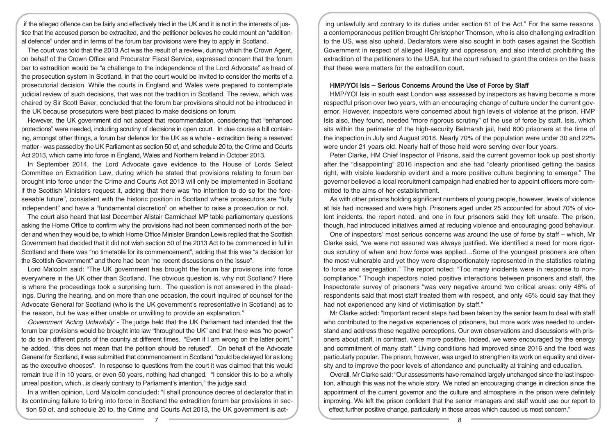if the alleged offence can be fairly and effectively tried in the UK and it is not in the interests of iustice that the accused person be extradited, and the petitioner believes he could mount an "additional defence" under and in terms of the forum bar provisions were they to apply in Scotland.

The court was told that the 2013 Act was the result of a review, during which the Crown Agent, on behalf of the Crown Office and Procurator Fiscal Service, expressed concern that the forum bar to extradition would be "a challenge to the independence of the Lord Advocate" as head of the prosecution system in Scotland, in that the court would be invited to consider the merits of a prosecutorial decision. While the courts in England and Wales were prepared to contemplate judicial review of such decisions, that was not the tradition in Scotland. The review, which was chaired by Sir Scott Baker, concluded that the forum bar provisions should not be introduced in the UK because prosecutors were best placed to make decisions on forum.

However, the UK government did not accept that recommendation, considering that "enhanced protections" were needed, including scrutiny of decisions in open court. In due course a bill containing, amongst other things, a forum bar defence for the UK as a whole - extradition being a reserved matter - was passed by the UK Parliament as section 50 of, and schedule 20 to, the Crime and Courts Act 2013, which came into force in England, Wales and Northern Ireland in October 2013.

In September 2014, the Lord Advocate gave evidence to the House of Lords Select Committee on Extradition Law, during which he stated that provisions relating to forum bar brought into force under the Crime and Courts Act 2013 will only be implemented in Scotland if the Scottish Ministers request it, adding that there was "no intention to do so for the foreseeable future", consistent with the historic position in Scotland where prosecutors are "fully independent" and have a "fundamental discretion" on whether to raise a prosecution or not.

The court also heard that last December Alistair Carmichael MP table parliamentary questions asking the Home Office to confirm why the provisions had not been commenced north of the border and when they would be, to which Home Office Minister Brandon Lewis replied that the Scottish Government had decided that it did not wish section 50 of the 2013 Act to be commenced in full in Scotland and there was "no timetable for its commencement", adding that this was "a decision for the Scottish Government" and there had been "no recent discussions on the issue".

Lord Malcolm said: "The UK government has brought the forum bar provisions into force everywhere in the UK other than Scotland. The obvious question is, why not Scotland? Here is where the proceedings took a surprising turn. The question is not answered in the pleadings. During the hearing, and on more than one occasion, the court inquired of counsel for the Advocate General for Scotland (who is the UK government's representative in Scotland) as to the reason, but he was either unable or unwilling to provide an explanation."

Government 'Acting Unlawfully' - The judge held that the UK Parliament had intended that the forum bar provisions would be brought into law "throughout the UK" and that there was "no power" to do so in different parts of the country at different times. "Even if I am wrong on the latter point," he added, "this does not mean that the petition should be refused". On behalf of the Advocate General for Scotland, it was submitted that commencement in Scotland "could be delayed for as long as the executive chooses". In response to questions from the court it was claimed that this would remain true if in 10 years, or even 50 years, nothing had changed. "I consider this to be a wholly unreal position, which...is clearly contrary to Parliament's intention," the judge said.

In a written opinion, Lord Malcolm concluded: "I shall pronounce decree of declarator that in its continuing failure to bring into force in Scotland the extradition forum bar provisions in section 50 of, and schedule 20 to, the Crime and Courts Act 2013, the UK government is act-

ing unlawfully and contrary to its duties under section 61 of the Act." For the same reasons a contemporaneous petition brought Christopher Thomson, who is also challenging extradition to the US, was also upheld. Declarators were also sought in both cases against the Scottish Government in respect of alleged illegality and oppression, and also interdict prohibiting the extradition of the petitioners to the USA, but the court refused to grant the orders on the basis that these were matters for the extradition court.

# HMP/YOI Isis – Serious Concerns Around the Use of Force by Staff

HMP/YOI Isis in south east London was assessed by inspectors as having become a more respectful prison over two years, with an encouraging change of culture under the current governor. However, inspectors were concerned about high levels of violence at the prison. HMP Isis also, they found, needed "more rigorous scrutiny" of the use of force by staff. Isis, which sits within the perimeter of the high-security Belmarsh jail, held 600 prisoners at the time of the inspection in July and August 2018. Nearly 70% of the population were under 30 and 22% were under 21 years old. Nearly half of those held were serving over four years.

Peter Clarke, HM Chief Inspector of Prisons, said the current governor took up post shortly after the "disappointing" 2016 inspection and she had "clearly prioritised getting the basics right, with visible leadership evident and a more positive culture beginning to emerge." The governor believed a local recruitment campaign had enabled her to appoint officers more committed to the aims of her establishment.

As with other prisons holding significant numbers of young people, however, levels of violence at Isis had increased and were high. Prisoners aged under 25 accounted for about 70% of violent incidents, the report noted, and one in four prisoners said they felt unsafe. The prison, though, had introduced initiatives aimed at reducing violence and encouraging good behaviour.

One of inspectors' most serious concerns was around the use of force by staff – which, Mr Clarke said, "we were not assured was always justified. We identified a need for more rigorous scrutiny of when and how force was applied…Some of the youngest prisoners are often the most vulnerable and yet they were disproportionately represented in the statistics relating to force and segregation." The report noted: "Too many incidents were in response to noncompliance." Though inspectors noted positive interactions between prisoners and staff, the Inspectorate survey of prisoners "was very negative around two critical areas: only 48% of respondents said that most staff treated them with respect, and only 46% could say that they had not experienced any kind of victimisation by staff."

Mr Clarke added: "Important recent steps had been taken by the senior team to deal with staff who contributed to the negative experiences of prisoners, but more work was needed to understand and address these negative perceptions. Our own observations and discussions with prisoners about staff, in contrast, were more positive. Indeed, we were encouraged by the energy and commitment of many staff." Living conditions had improved since 2016 and the food was particularly popular. The prison, however, was urged to strengthen its work on equality and diversity and to improve the poor levels of attendance and punctuality at training and education.

Overall, Mr Clarke said: "Our assessments have remained largely unchanged since the last inspection, although this was not the whole story. We noted an encouraging change in direction since the appointment of the current governor and the culture and atmosphere in the prison were definitely improving. We left the prison confident that the senior managers and staff would use our report to effect further positive change, particularly in those areas which caused us most concern."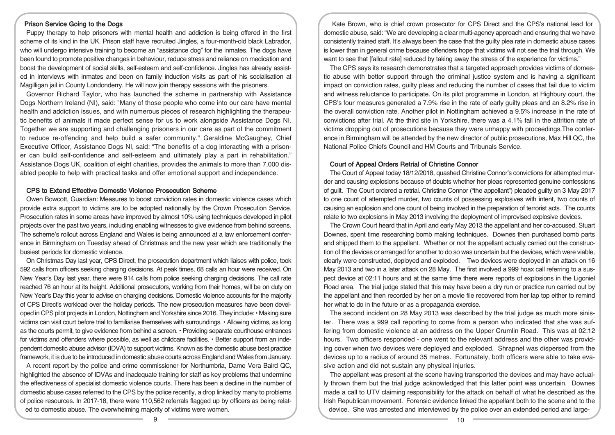# Prison Service Going to the Dogs

Puppy therapy to help prisoners with mental health and addiction is being offered in the first scheme of its kind in the UK. Prison staff have recruited Jingles, a four-month-old black Labrador, who will undergo intensive training to become an "assistance dog" for the inmates. The dogs have been found to promote positive changes in behaviour, reduce stress and reliance on medication and boost the development of social skills, self-esteem and self-confidence. Jingles has already assisted in interviews with inmates and been on family induction visits as part of his socialisation at Magilligan jail in County Londonderry. He will now join therapy sessions with the prisoners.

Governor Richard Taylor, who has launched the scheme in partnership with Assistance Dogs Northern Ireland (NI), said: "Many of those people who come into our care have mental health and addiction issues, and with numerous pieces of research highlighting the therapeutic benefits of animals it made perfect sense for us to work alongside Assistance Dogs NI. Together we are supporting and challenging prisoners in our care as part of the commitment to reduce re-offending and help build a safer community." Geraldine McGaughey, Chief Executive Officer, Assistance Dogs NI, said: "The benefits of a dog interacting with a prisoner can build self-confidence and self-esteem and ultimately play a part in rehabilitation." Assistance Dogs UK, coalition of eight charities, provides the animals to more than 7,000 disabled people to help with practical tasks and offer emotional support and independence.

# CPS to Extend Effective Domestic Violence Prosecution Scheme

Owen Bowcott, Guardian: Measures to boost conviction rates in domestic violence cases which provide extra support to victims are to be adopted nationally by the Crown Prosecution Service. Prosecution rates in some areas have improved by almost 10% using techniques developed in pilot projects over the past two years, including enabling witnesses to give evidence from behind screens. The scheme's rollout across England and Wales is being announced at a law enforcement conference in Birmingham on Tuesday ahead of Christmas and the new year which are traditionally the busiest periods for domestic violence.

On Christmas Day last year, CPS Direct, the prosecution department which liaises with police, took 592 calls from officers seeking charging decisions. At peak times, 68 calls an hour were received. On New Year's Day last year, there were 914 calls from police seeking charging decisions. The call rate reached 76 an hour at its height. Additional prosecutors, working from their homes, will be on duty on New Year's Day this year to advise on charging decisions. Domestic violence accounts for the majority of CPS Direct's workload over the holiday periods. The new prosecution measures have been developed in CPS pilot projects in London, Nottingham and Yorkshire since 2016. They include: • Making sure victims can visit court before trial to familiarise themselves with surroundings. • Allowing victims, as long as the courts permit, to give evidence from behind a screen. • Providing separate courthouse entrances for victims and offenders where possible, as well as childcare facilities. • Better support from an independent domestic abuse advisor (IDVA) to support victims. Known as the domestic abuse best practice framework, it is due to be introduced in domestic abuse courts across England and Wales from January.

A recent report by the police and crime commissioner for Northumbria, Dame Vera Baird QC, highlighted the absence of IDVAs and inadequate training for staff as key problems that undermine the effectiveness of specialist domestic violence courts. There has been a decline in the number of domestic abuse cases referred to the CPS by the police recently, a drop linked by many to problems of police resources. In 2017-18, there were 110,562 referrals flagged up by officers as being related to domestic abuse. The overwhelming majority of victims were women.

Kate Brown, who is chief crown prosecutor for CPS Direct and the CPS's national lead for domestic abuse, said: "We are developing a clear multi-agency approach and ensuring that we have consistently trained staff. It's always been the case that the guilty plea rate in domestic abuse cases is lower than in general crime because offenders hope that victims will not see the trial through. We want to see that [fallout rate] reduced by taking away the stress of the experience for victims."

The CPS says its research demonstrates that a targeted approach provides victims of domestic abuse with better support through the criminal justice system and is having a significant impact on conviction rates, guilty pleas and reducing the number of cases that fail due to victim and witness reluctance to participate. On its pilot programme in London, at Highbury court, the CPS's four measures generated a 7.9% rise in the rate of early guilty pleas and an 8.2% rise in the overall conviction rate. Another pilot in Nottingham achieved a 9.5% increase in the rate of convictions after trial. At the third site in Yorkshire, there was a 4.1% fall in the attrition rate of victims dropping out of prosecutions because they were unhappy with proceedings.The conference in Birmingham will be attended by the new director of public prosecutions, Max Hill QC, the National Police Chiefs Council and HM Courts and Tribunals Service.

## Court of Appeal Orders Retrial of Christine Connor

The Court of Appeal today 18/12/2018, quashed Christine Connor's convictions for attempted murder and causing explosions because of doubts whether her pleas represented genuine confessions of guilt. The Court ordered a retrial. Christine Connor ("the appellant") pleaded guilty on 3 May 2017 to one count of attempted murder, two counts of possessing explosives with intent, two counts of causing an explosion and one count of being involved in the preparation of terrorist acts. The counts relate to two explosions in May 2013 involving the deployment of improvised explosive devices.

The Crown Court heard that in April and early May 2013 the appellant and her co-accused, Stuart Downes, spent time researching bomb making techniques. Downes then purchased bomb parts and shipped them to the appellant. Whether or not the appellant actually carried out the construction of the devices or arranged for another to do so was uncertain but the devices, which were viable, clearly were constructed, deployed and exploded. Two devices were deployed in an attack on 16 May 2013 and two in a later attack on 28 May. The first involved a 999 hoax call referring to a suspect device at 02:11 hours and at the same time there were reports of explosions in the Ligoniel Road area. The trial judge stated that this may have been a dry run or practice run carried out by the appellant and then recorded by her on a movie file recovered from her lap top either to remind her what to do in the future or as a propaganda exercise.

The second incident on 28 May 2013 was described by the trial judge as much more sinister. There was a 999 call reporting to come from a person who indicated that she was suffering from domestic violence at an address on the Upper Crumlin Road. This was at 02:12 hours. Two officers responded - one went to the relevant address and the other was providing cover when two devices were deployed and exploded. Shrapnel was dispersed from the devices up to a radius of around 35 metres. Fortunately, both officers were able to take evasive action and did not sustain any physical injuries.

The appellant was present at the scene having transported the devices and may have actually thrown them but the trial judge acknowledged that this latter point was uncertain. Downes made a call to UTV claiming responsibility for the attack on behalf of what he described as the Irish Republican movement. Forensic evidence linked the appellant both to the scene and to the device. She was arrested and interviewed by the police over an extended period and large-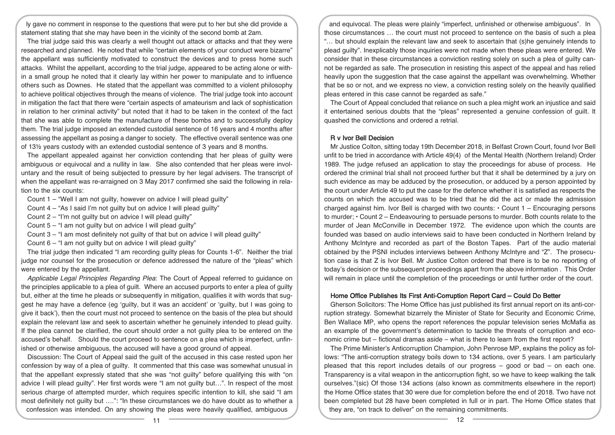ly gave no comment in response to the questions that were put to her but she did provide a statement stating that she may have been in the vicinity of the second bomb at 2am.

The trial judge said this was clearly a well thought out attack or attacks and that they were researched and planned. He noted that while "certain elements of your conduct were bizarre" the appellant was sufficiently motivated to construct the devices and to press home such attacks. Whilst the appellant, according to the trial judge, appeared to be acting alone or within a small group he noted that it clearly lay within her power to manipulate and to influence others such as Downes. He stated that the appellant was committed to a violent philosophy to achieve political objectives through the means of violence. The trial judge took into account in mitigation the fact that there were "certain aspects of amateurism and lack of sophistication in relation to her criminal activity" but noted that it had to be taken in the context of the fact that she was able to complete the manufacture of these bombs and to successfully deploy them. The trial judge imposed an extended custodial sentence of 16 years and 4 months after assessing the appellant as posing a danger to society. The effective overall sentence was one of 13½ years custody with an extended custodial sentence of 3 years and 8 months.

The appellant appealed against her conviction contending that her pleas of guilty were ambiguous or equivocal and a nullity in law. She also contended that her pleas were involuntary and the result of being subjected to pressure by her legal advisers. The transcript of when the appellant was re-arraigned on 3 May 2017 confirmed she said the following in relation to the six counts:

- Count 1 "Well I am not guilty, however on advice I will plead guilty"
- Count 4 "As I said I'm not guilty but on advice I will plead guilty"
- Count 2 "I'm not guilty but on advice I will plead guilty"
- Count 5 "I am not guilty but on advice I will plead guilty"
- Count 3 "I am most definitely not guilty of that but on advice I will plead guilty"

Count 6 – "I am not guilty but on advice I will plead guilty"

The trial judge then indicated "I am recording guilty pleas for Counts 1-6". Neither the trial judge nor counsel for the prosecution or defence addressed the nature of the "pleas" which were entered by the appellant.

Applicable Legal Principles Regarding Plea: The Court of Appeal referred to guidance on the principles applicable to a plea of guilt. Where an accused purports to enter a plea of guilty but, either at the time he pleads or subsequently in mitigation, qualifies it with words that suggest he may have a defence (eg 'guilty, but it was an accident' or 'guilty, but I was going to give it back'), then the court must not proceed to sentence on the basis of the plea but should explain the relevant law and seek to ascertain whether he genuinely intended to plead guilty. If the plea cannot be clarified, the court should order a not guilty plea to be entered on the accused's behalf. Should the court proceed to sentence on a plea which is imperfect, unfinished or otherwise ambiguous, the accused will have a good ground of appeal.

Discussion: The Court of Appeal said the guilt of the accused in this case rested upon her confession by way of a plea of guilty. It commented that this case was somewhat unusual in that the appellant expressly stated that she was "not guilty" before qualifying this with "on advice I will plead guilty". Her first words were "I am not guilty but…". In respect of the most serious charge of attempted murder, which requires specific intention to kill, she said "I am most definitely not guilty but ….": "In these circumstances we do have doubt as to whether a confession was intended. On any showing the pleas were heavily qualified, ambiguous

and equivocal. The pleas were plainly "imperfect, unfinished or otherwise ambiguous". In those circumstances … the court must not proceed to sentence on the basis of such a plea "… but should explain the relevant law and seek to ascertain that (s)he genuinely intends to plead guilty". Inexplicably those inquiries were not made when these pleas were entered. We consider that in these circumstances a conviction resting solely on such a plea of guilty cannot be regarded as safe. The prosecution in resisting this aspect of the appeal and has relied heavily upon the suggestion that the case against the appellant was overwhelming. Whether that be so or not, and we express no view, a conviction resting solely on the heavily qualified pleas entered in this case cannot be regarded as safe."

The Court of Appeal concluded that reliance on such a plea might work an injustice and said it entertained serious doubts that the "pleas" represented a genuine confession of guilt. It quashed the convictions and ordered a retrial.

# R v Ivor Bell Decision

Mr Justice Colton, sitting today 19th December 2018, in Belfast Crown Court, found Ivor Bell unfit to be tried in accordance with Article 49(4) of the Mental Health (Northern Ireland) Order 1989. The judge refused an application to stay the proceedings for abuse of process. He ordered the criminal trial shall not proceed further but that it shall be determined by a jury on such evidence as may be adduced by the prosecution, or adduced by a person appointed by the court under Article 49 to put the case for the defence whether it is satisfied as respects the counts on which the accused was to be tried that he did the act or made the admission charged against him. Ivor Bell is charged with two counts:  $\cdot$  Count 1 – Encouraging persons to murder; • Count 2 – Endeavouring to persuade persons to murder. Both counts relate to the murder of Jean McConville in December 1972. The evidence upon which the counts are founded was based on audio interviews said to have been conducted in Northern Ireland by Anthony McIntyre and recorded as part of the Boston Tapes. Part of the audio material obtained by the PSNI includes interviews between Anthony McIntyre and "Z". The prosecution case is that Z is Ivor Bell. Mr Justice Colton ordered that there is to be no reporting of today's decision or the subsequent proceedings apart from the above information . This Order will remain in place until the completion of the proceedings or until further order of the court.

#### Home Office Publishes Its First Anti-Corruption Report Card – Could Do Better

Gherson Solicitors: The Home Office has just published its first annual report on its anti-corruption strategy. Somewhat bizarrely the Minister of State for Security and Economic Crime, Ben Wallace MP, who opens the report references the popular television series McMafia as an example of the government's determination to tackle the threats of corruption and economic crime but – fictional dramas aside – what is there to learn from the first report?

The Prime Minister's Anticorruption Champion, John Penrose MP, explains the policy as follows: "The anti-corruption strategy boils down to 134 actions, over 5 years. I am particularly pleased that this report includes details of our progress – good or bad – on each one. Transparency is a vital weapon in the anticorruption fight, so we have to keep walking the talk ourselves."(sic) Of those 134 actions (also known as commitments elsewhere in the report) the Home Office states that 30 were due for completion before the end of 2018. Two have not been completed but 28 have been completed in full or in part. The Home Office states that they are, "on track to deliver" on the remaining commitments.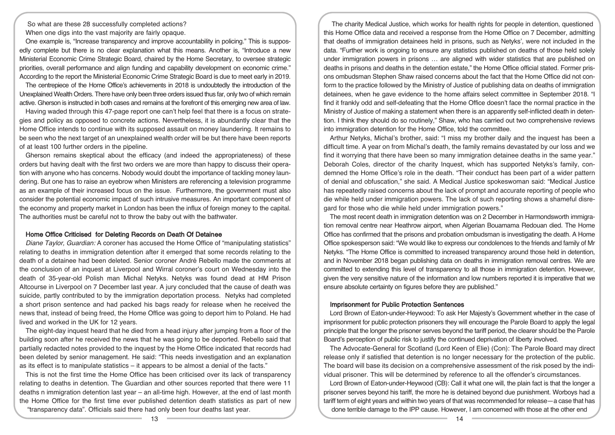So what are these 28 successfully completed actions?

When one digs into the vast majority are fairly opaque.

One example is, "Increase transparency and improve accountability in policing." This is supposedly complete but there is no clear explanation what this means. Another is, "Introduce a new Ministerial Economic Crime Strategic Board, chaired by the Home Secretary, to oversee strategic priorities, overall performance and align funding and capability development on economic crime." According to the report the Ministerial Economic Crime Strategic Board is due to meet early in 2019.

The centrepiece of the Home Office's achievements in 2018 is undoubtedly the introduction of the Unexplained Wealth Orders. There have only been three orders issued thus far, only two of which remain active. Gherson is instructed in both cases and remains at the forefront of this emerging new area of law.

Having waded through this 47-page report one can't help feel that there is a focus on strategies and policy as opposed to concrete actions. Nevertheless, it is abundantly clear that the Home Office intends to continue with its supposed assault on money laundering. It remains to be seen who the next target of an unexplained wealth order will be but there have been reports of at least 100 further orders in the pipeline.

Gherson remains skeptical about the efficacy (and indeed the appropriateness) of these orders but having dealt with the first two orders we are more than happy to discuss their operation with anyone who has concerns. Nobody would doubt the importance of tackling money laundering. But one has to raise an eyebrow when Ministers are referencing a television programme as an example of their increased focus on the issue. Furthermore, the government must also consider the potential economic impact of such intrusive measures. An important component of the economy and property market in London has been the influx of foreign money to the capital. The authorities must be careful not to throw the baby out with the bathwater.

# Home Office Criticised for Deleting Records on Death Of Detainee

Diane Taylor, Guardian: A coroner has accused the Home Office of "manipulating statistics" relating to deaths in immigration detention after it emerged that some records relating to the death of a detainee had been deleted. Senior coroner André Rebello made the comments at the conclusion of an inquest at Liverpool and Wirral coroner's court on Wednesday into the death of 35-year-old Polish man Michal Netyks. Netyks was found dead at HM Prison Altcourse in Liverpool on 7 December last year. A jury concluded that the cause of death was suicide, partly contributed to by the immigration deportation process. Netyks had completed a short prison sentence and had packed his bags ready for release when he received the news that, instead of being freed, the Home Office was going to deport him to Poland. He had lived and worked in the UK for 12 years.

The eight-day inquest heard that he died from a head injury after jumping from a floor of the building soon after he received the news that he was going to be deported. Rebello said that partially redacted notes provided to the inquest by the Home Office indicated that records had been deleted by senior management. He said: "This needs investigation and an explanation as its effect is to manipulate statistics – it appears to be almost a denial of the facts."

This is not the first time the Home Office has been criticised over its lack of transparency relating to deaths in detention. The Guardian and other sources reported that there were 11 deaths n immigration detention last year – an all-time high. However, at the end of last month the Home Office for the first time ever published detention death statistics as part of new "transparency data". Officials said there had only been four deaths last year.

The charity Medical Justice, which works for health rights for people in detention, questioned this Home Office data and received a response from the Home Office on 7 December, admitting that deaths of immigration detainees held in prisons, such as Netyks', were not included in the data. "Further work is ongoing to ensure any statistics published on deaths of those held solely under immigration powers in prisons … are aligned with wider statistics that are published on deaths in prisons and deaths in the detention estate," the Home Office official stated. Former prisons ombudsman Stephen Shaw raised concerns about the fact that the Home Office did not conform to the practice followed by the Ministry of Justice of publishing data on deaths of immigration detainees, when he gave evidence to the home affairs select committee in September 2018. "I find it frankly odd and self-defeating that the Home Office doesn't face the normal practice in the Ministry of Justice of making a statement when there is an apparently self-inflicted death in detention. I think they should do so routinely," Shaw, who has carried out two comprehensive reviews into immigration detention for the Home Office, told the committee.

Arthur Netyks, Michal's brother, said: "I miss my brother daily and the inquest has been a difficult time. A year on from Michal's death, the family remains devastated by our loss and we find it worrying that there have been so many immigration detainee deaths in the same year." Deborah Coles, director of the charity Inquest, which has supported Netyks's family, condemned the Home Office's role in the death. "Their conduct has been part of a wider pattern of denial and obfuscation," she said. A Medical Justice spokeswoman said: "Medical Justice has repeatedly raised concerns about the lack of prompt and accurate reporting of people who die while held under immigration powers. The lack of such reporting shows a shameful disregard for those who die while held under immigration powers."

The most recent death in immigration detention was on 2 December in Harmondsworth immigration removal centre near Heathrow airport, when Algerian Bouamama Redouan died. The Home Office has confirmed that the prisons and probation ombudsman is investigating the death. A Home Office spokesperson said: "We would like to express our condolences to the friends and family of Mr Netyks. "The Home Office is committed to increased transparency around those held in detention, and in November 2018 began publishing data on deaths in immigration removal centres. We are committed to extending this level of transparency to all those in immigration detention. However, given the very sensitive nature of the information and low numbers reported it is imperative that we ensure absolute certainty on figures before they are published."

#### Imprisonment for Public Protection Sentences

Lord Brown of Eaton-under-Heywood: To ask Her Majesty's Government whether in the case of imprisonment for public protection prisoners they will encourage the Parole Board to apply the legal principle that the longer the prisoner serves beyond the tariff period, the clearer should be the Parole Board's perception of public risk to justify the continued deprivation of liberty involved.

The Advocate-General for Scotland (Lord Keen of Elie) (Con): The Parole Board may direct release only if satisfied that detention is no longer necessary for the protection of the public. The board will base its decision on a comprehensive assessment of the risk posed by the individual prisoner. This will be determined by reference to all the offender's circumstances.

Lord Brown of Eaton-under-Heywood (CB): Call it what one will, the plain fact is that the longer a prisoner serves beyond his tariff, the more he is detained beyond due punishment. Worboys had a tariff term of eight years and within two years of that was recommended for release—a case that has done terrible damage to the IPP cause. However, I am concerned with those at the other end